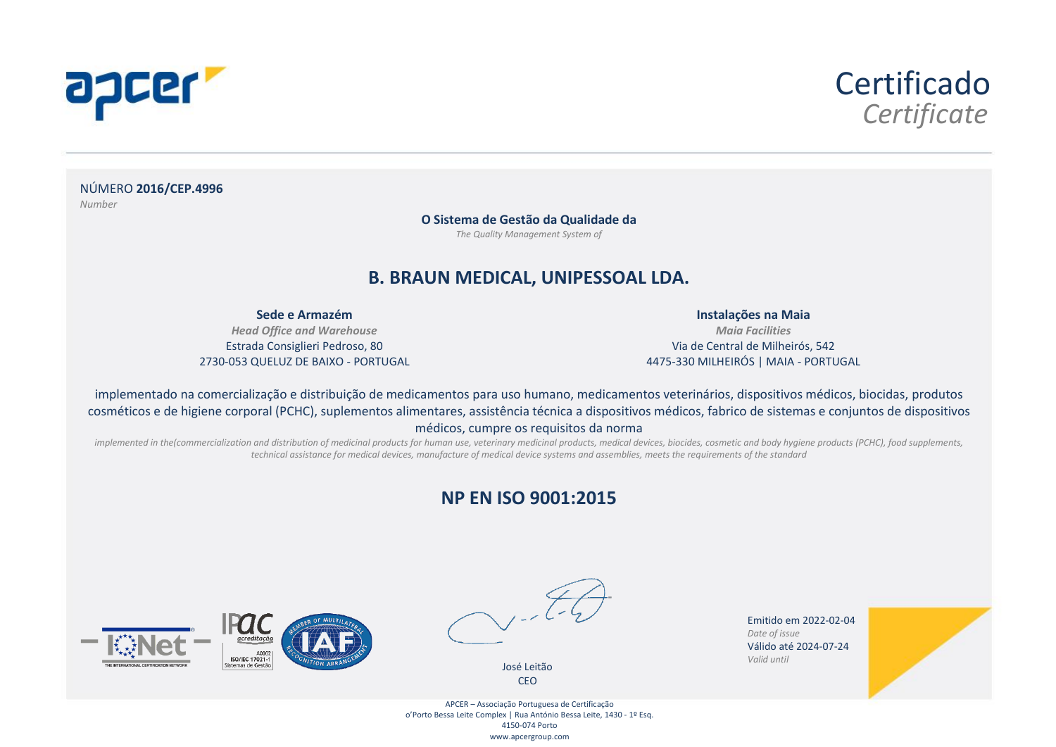



NÚMERO **2016/CEP.4996** *Number*

> **O Sistema de Gestão da Qualidade da** *The Quality Management System of*

#### **B. BRAUN MEDICAL, UNIPESSOAL LDA.**

**Sede e Armazém** 

*Head Office and Warehouse* Estrada Consiglieri Pedroso, 80 2730-053 QUELUZ DE BAIXO - PORTUGAL

**Instalações na Maia**  *Maia Facilities* Via de Central de Milheirós, 542 4475-330 MILHEIRÓS | MAIA - PORTUGAL

implementado na comercialização e distribuição de medicamentos para uso humano, medicamentos veterinários, dispositivos médicos, biocidas, produtos cosméticos e de higiene corporal (PCHC), suplementos alimentares, assistência técnica a dispositivos médicos, fabrico de sistemas e conjuntos de dispositivos médicos, cumpre os requisitos da norma

implemented in the(commercialization and distribution of medicinal products for human use, veterinary medicinal products, medical devices, biocides, cosmetic and body hygiene products (PCHC), food supplements, *technical assistance for medical devices, manufacture of medical device systems and assemblies, meets the requirements of the standard*

#### **NP EN ISO 9001:2015**





José Leitão CEO

Emitido em 2022-02-04 *Date of issue* Válido até 2024-07-24 *Valid until*



APCER – Associação Portuguesa de Certificação o'Porto Bessa Leite Complex | Rua António Bessa Leite, 1430 - 1º Esq. 4150-074 Porto www.apcergroup.com